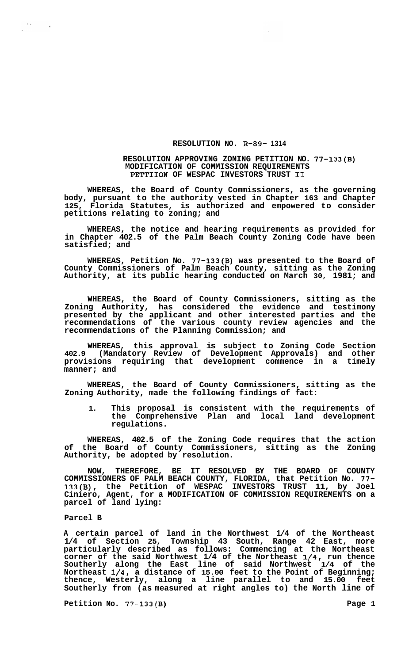# **RESOLUTION NO. R-89- 1314**

#### **RESOLUTION APPROVING ZONING PETITION NO. 77-133(B) MODIFICATION OF COMMISSION REQUIREMENTS PETTIION OF WESPAC INVESTORS TRUST I1**

**WHEREAS, the Board of County Commissioners, as the governing body, pursuant to the authority vested in Chapter 163 and Chapter 125, Florida Statutes, is authorized and empowered to consider petitions relating to zoning; and** 

**WHEREAS, the notice and hearing requirements as provided for in Chapter 402.5 of the Palm Beach County Zoning Code have been satisfied; and** 

**WHEREAS, Petition No. 77-133(B) was presented to the Board of County Commissioners of Palm Beach County, sitting as the Zoning Authority, at its public hearing conducted on March 30, 1981; and** 

**WHEREAS, the Board of County Commissioners, sitting as the Zoning Authority, has considered the evidence and testimony presented by the applicant and other interested parties and the recommendations of the various county review agencies and the recommendations of the Planning Commission; and** 

**WHEREAS, this approval is subject to Zoning Code Section 402.9 (Mandatory Review of Development Approvals) and other provisions requiring that development commence in a timely manner; and** 

**WHEREAS, the Board of County Commissioners, sitting as the Zoning Authority, made the following findings of fact:** 

**1. This proposal is consistent with the requirements of the Comprehensive Plan and local land development regulations.** 

**WHEREAS, 402.5 of the Zoning Code requires that the action of the Board of County Commissioners, sitting as the Zoning Authority, be adopted by resolution.** 

**NOW, THEREFORE, BE IT RESOLVED BY THE BOARD OF COUNTY COMMISSIONERS OF PALM BEACH COUNTY, FLORIDA, that Petition No. 77- 133(B), the Petition of WESPAC INVESTORS TRUST 11, by Joel Ciniero, Agent, for a MODIFICATION OF COMMISSION REQUIREMENTS on a parcel of land lying:** 

# **Parcel B**

 $\Delta$  or  $\sim$ 

 $\sim 10^7$ 

**A certain parcel of land in the Northwest 1/4 of the Northeast 1/4 of Section 25, Township 43 South, Range 42 East, more particularly described as follows: Commencing at the Northeast corner of the said Northwest 1/4 of the Northeast 1/4, run thence Southerly along the East line of said Northwest 1/4 of the Northeast 1/4, a distance of 15.00 feet to the Point of Beginning; thence, Westerly, along a line parallel to and 15.00 feet Southerly from (as measured at right angles to) the North line of** 

Petition No. 77-133(B) **Page 1 Page 1**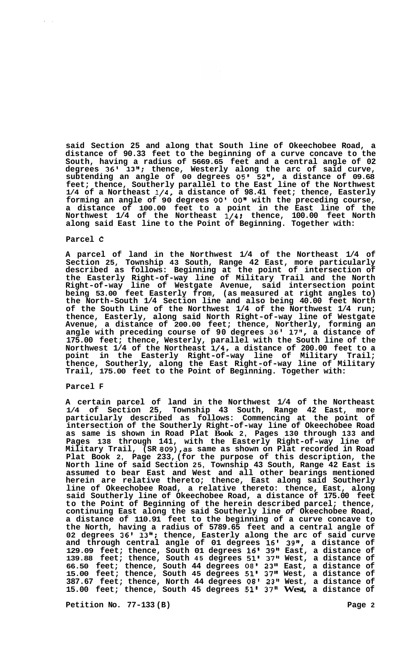**said Section 25 and along that South line of Okeechobee Road, a distance of 90.33 feet to the beginning of a curve concave to the South, having a radius of 5669.65 feet and a central angle of 02 degrees 36' 13"; thence, Westerly along the arc of said curve, subtending an angle of 00 degrees** *05'* **5211, a distance of 09.68 feet; thence, Southerly parallel to the East line of the Northwest 1/4 of a Northeast 1/4, a distance of 98.41 feet; thence, Easterly**  forming an angle of 90 degrees 00' 00" with the preceding course, **a distance of 100.00 feet to a point in the East line of the Northwest 1/4 of the Northeast 1/4** ; **thence, 100.00 feet North along said East line to the Point of Beginning. Together with:** 

#### **Parcel** *C*

**A parcel of land in the Northwest 1/4 of the Northeast 1/4 of Section 25, Township 43 South, Range 42 East, more particularly described as follows: Beginning at the point of intersection of the Easterly Right-of-way line of Military Trail and the North Right-of-way line of Westgate Avenue, said intersection point being 53.00 feet Easterly from, (as measured at right angles to) the North-South 1/4 Section line and also being 40.00 feet North of the South Line of the Northwest 1/4 of the Northwest 1/4 run; thence, Easterly, along said North Right-of-way line of Westgate Avenue, a distance of 200.00 feet; thence, Northerly, forming an angle with preceding course of 90 degrees 36' 17", a distance of 175.00 feet; thence, Westerly, parallel with the South line of the Northwest 1/4 of the Northeast 1/4, a distance of 200.00 feet to a point in the Easterly Right-of-way line of Military Trail; thence, Southerly, along the East Right-of-way line of Military Trail, 175.00 feet to the Point of Beginning. Together with:** 

### **Parcel F**

**A certain parcel of land in the Northwest 1/4 of the Northeast 1/4 of Section 25, Township 43 South, Range 42 East, more particularly described as follows: Commencing at the point of intersection of the Southerly Right-of-way line of Okeechobee Road as same is shown in Road Plat Book 2, Pages 130 through 133 and Pages 138 through 141, with the Easterly Right-of-way line of Military Trail, (SR 809),as same as shown on Plat recorded in Road Plat Book 2, Page 233, (for the purpose of this description, the North line of said Section 25, Township 43 South, Range 42 East is assumed to bear East and West and all other bearings mentioned herein are relative thereto; thence, East along said Southerly line of Okeechobee Road, a relative thereto: thence, East, along said Southerly line of Okeechobee Road, a distance of 175.00 feet to the Point of Beginning of the herein described parcel; thence, continuing East along the said Southerly line** *of* **Okeechobee Road, a distance of 110.91 feet to the beginning of a curve concave to the North, having a radius of 5789.65 feet and a central angle of 02 degrees 36' 13"; thence, Easterly along the arc of said curve and through central angle of 01 degrees 16' 39", a distance of 129.09 feet; thence, South 01 degrees 16' 39'' East, a distance of 139.88 feet; thence, South 45 degrees 51' 37" West, a distance of 66.50 feet; thence, South 44 degrees 08' 23'' East, a distance of 15.00 feet; thence, South 45 degrees 51' 37" West, a distance of 387.67 feet; thence, North 44 degrees 08' 23'' West, a distance of 15.00 feet; thence, South 45 degrees 51' 37" West, a distance of** 

**Petition No. 77-133 (B)** Page 2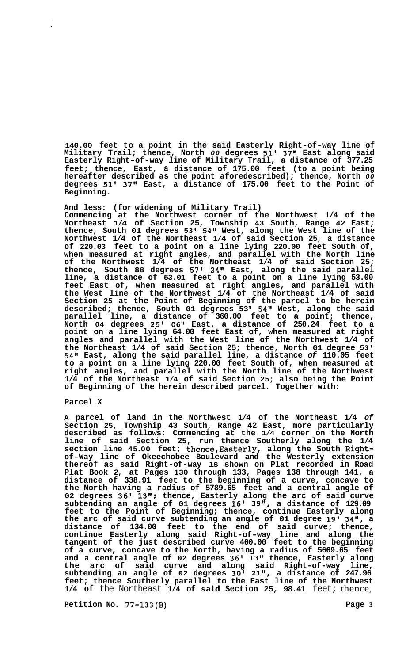**140.00 feet to a point in the said Easterly Right-of-way line of Military Trail; thence, North** *00* **degrees 51' 37" East along said Easterly Right-of-way line of Military Trail, a distance of 377.25 feet; thence, East, a distance of 175.00 feet (to a point being hereafter described as the point aforedescribed); thence, North** *00*  **degrees 51' 37" East, a distance of 175.00 feet to the Point of Beginning.** 

# **And less: (for widening of Military Trail)**

**Commencing at the Northwest corner of the Northwest 1/4 of the Northeast 1/4 of Section 25, Township 43 South, Range 42 East; thence, South 01 degrees 53 I 54" West, along the West line of the Northwest 1/4 of the Northeast 1/4 of said Section 25, a distance of 220.03 feet to a point on a line lying 220.00 feet South of, when measured at right angles, and parallel with the North line of the Northwest 1/4 of the Northeast 1/4 of said Section 25; thence, South 88 degrees 57' 24" East, along the said parallel line, a distance of 53.01 feet to a point on a line lying 53.00 feet East of, when measured at right angles, and parallel with the West line of the Northwest 1/4 of the Northeast 1/4 of said Section 25 at the Point of Beginning of the parcel to be herein described; thence, South 01 degrees 53 54'' West, along the said parallel line, a distance of 360.00 feet to a point; thence, North 04 degrees 25' 06" East, a distance of 250.24 feet to a point on a line lying 64.00 feet East of, when measured at right angles and parallel with the West line of the Northwest 1/4 of the Northeast 1/4 of said Section 25; thence, North 01 degree 53' 54" East, along the said parallel line, a distance** *of* **110.05 feet to a point on a line lying 220.00 feet South of, when measured at right angles, and parallel with the North line of the Northwest 1/4 of the Northeast 1/4 of said Section 25; also being the Point of Beginning of the herein described parcel. Together with:** 

## **Parcel X**

**A parcel of land in the Northwest 1/4 of the Northeast 1/4** *of*  **Section 25, Township 43 South, Range 42 East, more particularly described as follows: Commencing at the 1/4 corner on the North line of said Section 25, run thence Southerly along the 1/4 section line 45.00 feet; thence,Easterly, along the South Rightof-Way line of Okeechobee Boulevard and the Westerly extension thereof as said Right-of-way is shown on Plat recorded in Road Plat Book 2, at Pages 130 through 133, Pages 138 through 141, a distance of 338.91 feet to the beginning of a curve, concave to the North having a radius of 5789.65 feet and a central angle of 02 degrees 36' 13"; thence, Easterly along the arc of said curve subtending an angle of 01 degrees 16' 39", a distance of 129.09 feet to the Point of Beginning; thence, continue Easterly along the arc of said curve subtending an angle of 01 degree 19' 34", a distance of 134.00 feet to the end of said curve; thence, continue Easterly along said Right-of-way line and along the tangent of the just described curve 400.00 feet to the beginning of a curve, concave to the North, having a radius of 5669.65 feet and a central angle of 02 degrees 36' 13" thence, Easterly along the arc of said curve and along said Right-of-way line, subtending an angle of 02 degrees 30' 21", a distance of 247.96 feet; thence Southerly parallel to the East line of the Northwest 1/4 of** the Northeast **1/4 of said Section 25, 98.41** feet; thence,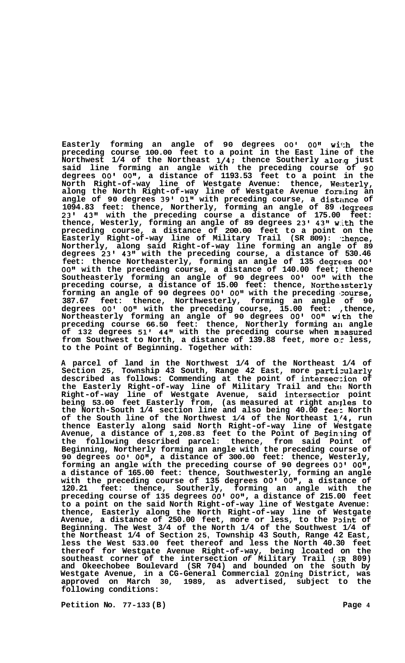**Easterly forming an angle of 90 degrees 00' 00" with the preceding course 100.00 feet to a point in the East line of the Northwest 1/4 of the Northeast 1/4: thence Southerly alorlg just said line forming an angle with the preceding course of 90 degrees** *00'* **0OB1, a distance of 1193.53 feet to a point in the North Right-of-way line of Westgate Avenue: thence, We:;terly, along the North Right-of-way line of Westgate Avenue forming an**  angle of 90 degrees 39' 01" with preceding course, a distance of **1094.83 feet: thence, Northerly, forming an angle of 89 ciegrees 23' 43" with the preceding course a distance of 175.00 feet: thence, Westerly, forming an angle of 89 degrees 23' 43" w:ith the preceding course, a distance of 200.00 feet to a point on the Easterly Right-of-way line of Military Trail (SR 809): ':hence, Northerly, along said Right-of-way line forming an angle of 89 degrees 23' 43" with the preceding course, a distance of 530.46 feet: thence Northeasterly, forming an angle of 135 degrees** *00'*  **OO'I with the preceding course, a distance of 140.00 feet; thence Southeasterly forming an angle of 90 degrees 00' 00" with the preceding course, a distance of 15.00 feet: thence, Northeasterly forming an angle of 90 degrees** *00'* **O0l8 with the preceding Icourse, 387.67 feet: thence, Northwesterly, forming an angle of 90 degrees** *00' 00"* **with the preceding course, 15.00 feet: ,thence,**  <code>Northeasterly forming an angle of 90 degrees 00' 00" with the  $\overline{a}$ </code> **preceding course 66.50 feet: thence, Northerly forming an angle of 132 degrees 51' 44" with the preceding course when m2asured from Southwest to North, a distance of 139.88 feet, more** *o:c* **less, to the Point of Beginning. Together with:** 

**A parcel of land in the Northwest 1/4 of the Northeast 1/4 of Section 25, Township 43 South, Range 42 East, more partixlarly described as follows: Commending at the point of intersec\*:ion of the Easterly Right-of-way line of Military Trail and the North Right-of-way line of Westgate Avenue, said intersectior point being 53.00 feet Easterly from, (as measured at right anqles to the North-South 1/4 section line and also being 40.00 fee.: North of the South line of the Northwest 1/4 of the Northeast 1,/4, run thence Easterly along said North Right-of-way line of Westgate**  Avenue, a distance of 1,208.83 feet to the Point of Beginning of **the following described parcel: thence, from said Point of Beginning, Northerly forming an angle with the preceding course of 90 degrees** *00'* **0Ot1, a distance of 300.00 feet: thence, Westerly,**  forming an angle with the preceding course of 90 degrees 00' 00", **a distance of 165.00 feet: thence, Southwesterly, forming an angle with the preceding course of 135 degrees** *00'* **0Ot1, a distance of 120.21 feet: thence, Southerly, forming an angle with the preceding course of 135 degrees** *00'* **0Ot1, a distance of 215.00 feet to a point on the said North Right-of-way line of Westgate Avenue: thence, Easterly along the North Right-of-way line of Westgate**  Avenue, a distance of 250.00 feet, more or less, to the Point of **Beginning. The West 3/4 of the North 1/4 of the Southwest 1/4 of the Northeast 1/4 of Section 25, Township 43 South, Range 42 East, less the West 533.00 feet thereof and less the North 40.30 feet thereof for Westgate Avenue Right-of-way, being lcoated on the southeast corner of the intersection** *of* **Military Trail (,5R 809) and Okeechobee Boulevard (SR 704) and bounded on the south by Westgate Avenue, in a CG-General Commercial Zoning District, was approved on March 30, 1989, as advertised, subject to the following conditions:**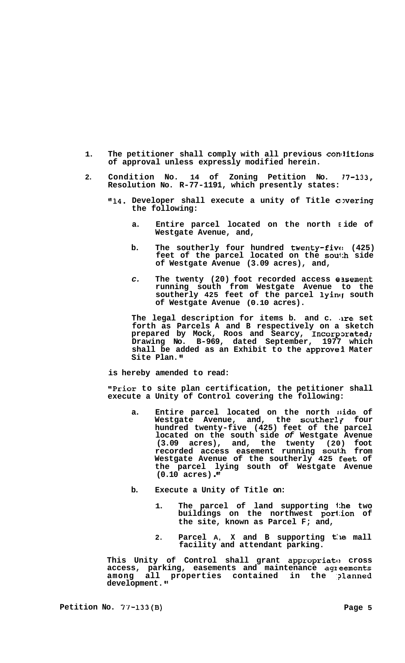- 1. The petitioner shall comply with all previous conditions **of approval unless expressly modified herein.**
- **2. Condition No. 14 of Zoning Petition No. 77-133, Resolution No. R-77-1191, which presently states:** 
	- **"14. Developer shall execute a unity of Title covering the following:** 
		- **a. Entire parcel located on the north E ide of Westgate Avenue, and,**
		- b. The southerly four hundred twent**y-fiv**e: (425) **feet of the parcel located on the soul:h side of Westgate Avenue (3.09 acres), and,**
		- *c.* **The twenty (20) foot recorded access emement running south from Westgate Avenue to the**  southerly 425 feet of the parcel lying south **of Westgate Avenue (0.10 acres).**

**The legal description for items b. and c. .are set forth as Parcels A and B respectively on a sketch prepared by Mock, Roos and Searcy, Incorpxated; Drawing No. B-969, dated September, 1977 which shall be added as an Exhibit to the approve3 Mater Site Plan.** 

**is hereby amended to read:** 

**"Prior to site plan certification, the petitioner shall execute a Unity of Control covering the following:** 

- **a. Entire parcel located on the north 8;ide of Westgate Avenue, and, the southerly four hundred twenty-five (425) feet of the parcel located on the south side** *of* **Westgate Avenue (3.09 acres), and, the twenty (20) foot recorded access easement running sou1:h from Westgate Avenue of the southerly 425 Ceet of the parcel lying south of Westgate Avenue (0.10 acres)** .
- **b. Execute a Unity of Title on:** 
	- **1. The parcel of land supporting 1:he two buildings on the northwest por1:ion of the site, known as Parcel F; and,**
	- **2. Parcel A, X and B supporting t:le mall facility and attendant parking.**

**This Unity of Control shall grant appropriatc! cross**  access, parking, easements and maintenance agreements among all properties contained in the planned **development. It**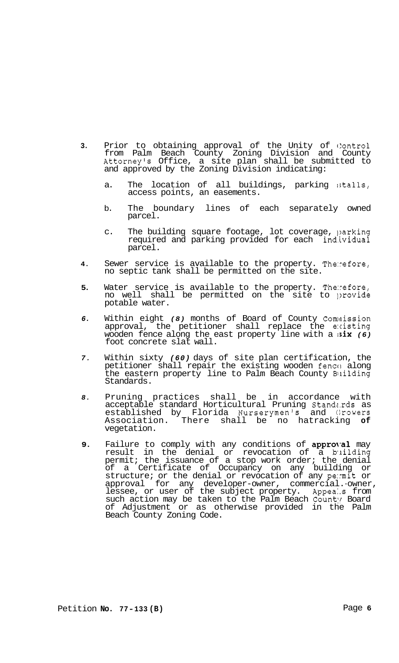- **3.** Prior to obtaining approval of the Unity of Control from Palm Beach County Zoning Division and County Attorney's Office, a site plan shall be submitted to and approved by the Zoning Division indicating:
	- a. The location of all buildings, parking stalls, access points, an easements.
	- b. The boundary lines of each separately owned parcel.
	- c. The building square footage, lot coverage, parking required and parking provided for each individual parcel.
- **4.** Sewer service is available to the property. The:refore, no septic tank shall be permitted on the site.
- **5.** Water service is available to the property. The:refore, no well shall be permitted on the site to provide potable water.
- *6.* Within eight *(8)* months of Board of County Comaission approval, the petitioner shall replace the e:cisting wooden fence along the east property line with a ;six *(6)*  foot concrete slat wall.
- *7.* Within sixty *(60)* days of site plan certification, the petitioner shall repair the existing wooden fence along the eastern property line to Palm Beach County Building Standards.
- *8.* Pruning practices shall be in accordance with acceptable standard Horticultural Pruning Standz.rds as established by Florida Nurserymen's and Growers Association. There shall be no hatracking **of**  vegetation.
- **9.** Failure to comply with any conditions of approval may result in the denial or revocation of a building permit; the issuance of a stop work order; the denial of a Certificate of Occupancy on any building or structure; or the denial or revocation of any pe:mit or approval for any developer-owner, commercial.-owner, lessee, or user of the subject property. Appeals from such action may be taken to the Palm Beach County Board of Adjustment or as otherwise provided in the Palm Beach County Zoning Code.